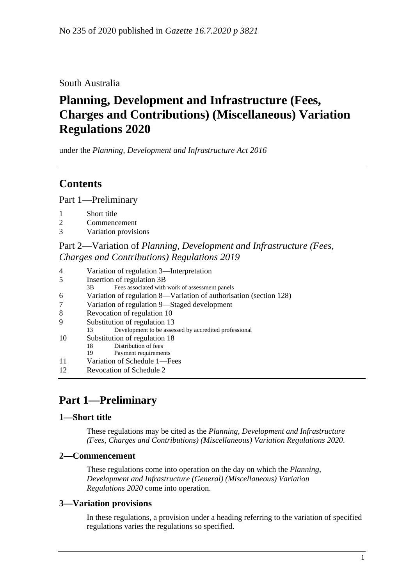## South Australia

# **Planning, Development and Infrastructure (Fees, Charges and Contributions) (Miscellaneous) Variation Regulations 2020**

under the *Planning, Development and Infrastructure Act 2016*

## **Contents**

Part [1—Preliminary](#page-0-0)

- 2 [Commencement](#page-0-2)
- 3 [Variation provisions](#page-0-3)

## Part 2—Variation of *[Planning, Development and Infrastructure \(Fees,](#page-1-0)  [Charges and Contributions\) Regulations](#page-1-0) 2019*

| 4<br>Variation of regulation 3—Interpretation |  |
|-----------------------------------------------|--|
|-----------------------------------------------|--|

- 3B Fees associated with work of assessment panels
- 6 [Variation of regulation 8—Variation of authorisation \(section](#page-1-3) 128)
- 7 [Variation of regulation 9—Staged development](#page-2-0)
- 8 [Revocation of regulation 10](#page-2-1)
- 9 [Substitution of regulation 13](#page-2-2)<br>13 Development to be assessed
- Development to be assessed by accredited professional
- 10 [Substitution of regulation 18](#page-2-3)
	- 18 Distribution of fees
- 19 Payment requirements 11 [Variation of Schedule 1—Fees](#page-3-0)
- 12 [Revocation of Schedule 2](#page-7-0)

## <span id="page-0-0"></span>**Part 1—Preliminary**

## <span id="page-0-1"></span>**1—Short title**

These regulations may be cited as the *Planning, Development and Infrastructure (Fees, Charges and Contributions) (Miscellaneous) Variation Regulations 2020*.

## <span id="page-0-2"></span>**2—Commencement**

These regulations come into operation on the day on which the *[Planning,](http://www.legislation.sa.gov.au/index.aspx?action=legref&type=subordleg&legtitle=Planning%20Development%20and%20Infrastructure%20(General)%20(Miscellaneous)%20Variation%20Regulations%202020)  [Development and Infrastructure \(General\) \(Miscellaneous\) Variation](http://www.legislation.sa.gov.au/index.aspx?action=legref&type=subordleg&legtitle=Planning%20Development%20and%20Infrastructure%20(General)%20(Miscellaneous)%20Variation%20Regulations%202020)  [Regulations](http://www.legislation.sa.gov.au/index.aspx?action=legref&type=subordleg&legtitle=Planning%20Development%20and%20Infrastructure%20(General)%20(Miscellaneous)%20Variation%20Regulations%202020) 2020* come into operation.

## <span id="page-0-3"></span>**3—Variation provisions**

In these regulations, a provision under a heading referring to the variation of specified regulations varies the regulations so specified.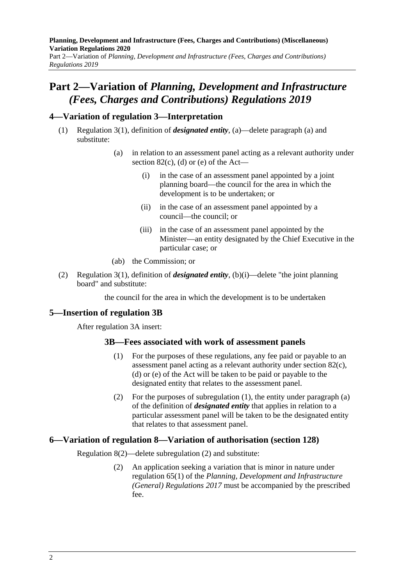**Planning, Development and Infrastructure (Fees, Charges and Contributions) (Miscellaneous) Variation Regulations 2020** Part 2—Variation of *Planning, Development and Infrastructure (Fees, Charges and Contributions) Regulations 2019*

## <span id="page-1-0"></span>**Part 2—Variation of** *Planning, Development and Infrastructure (Fees, Charges and Contributions) Regulations 2019*

### <span id="page-1-1"></span>**4—Variation of regulation 3—Interpretation**

- (1) Regulation 3(1), definition of *designated entity*, (a)—delete paragraph (a) and substitute:
	- (a) in relation to an assessment panel acting as a relevant authority under section  $82(c)$ , (d) or (e) of the Act-
		- (i) in the case of an assessment panel appointed by a joint planning board—the council for the area in which the development is to be undertaken; or
		- (ii) in the case of an assessment panel appointed by a council—the council; or
		- (iii) in the case of an assessment panel appointed by the Minister—an entity designated by the Chief Executive in the particular case; or
	- (ab) the Commission; or
- (2) Regulation 3(1), definition of *designated entity*, (b)(i)—delete "the joint planning board" and substitute:

the council for the area in which the development is to be undertaken

### <span id="page-1-2"></span>**5—Insertion of regulation 3B**

<span id="page-1-4"></span>After regulation 3A insert:

#### **3B—Fees associated with work of assessment panels**

- (1) For the purposes of these regulations, any fee paid or payable to an assessment panel acting as a relevant authority under section 82(c), (d) or (e) of the Act will be taken to be paid or payable to the designated entity that relates to the assessment panel.
- (2) For the purposes of [subregulation](#page-1-4) (1), the entity under paragraph (a) of the definition of *designated entity* that applies in relation to a particular assessment panel will be taken to be the designated entity that relates to that assessment panel.

#### <span id="page-1-3"></span>**6—Variation of regulation 8—Variation of authorisation (section 128)**

Regulation 8(2)—delete subregulation (2) and substitute:

(2) An application seeking a variation that is minor in nature under regulation 65(1) of the *[Planning, Development and Infrastructure](http://www.legislation.sa.gov.au/index.aspx?action=legref&type=subordleg&legtitle=Planning%20Development%20and%20Infrastructure%20(General)%20Regulations%202017)  [\(General\) Regulations](http://www.legislation.sa.gov.au/index.aspx?action=legref&type=subordleg&legtitle=Planning%20Development%20and%20Infrastructure%20(General)%20Regulations%202017) 2017* must be accompanied by the prescribed fee.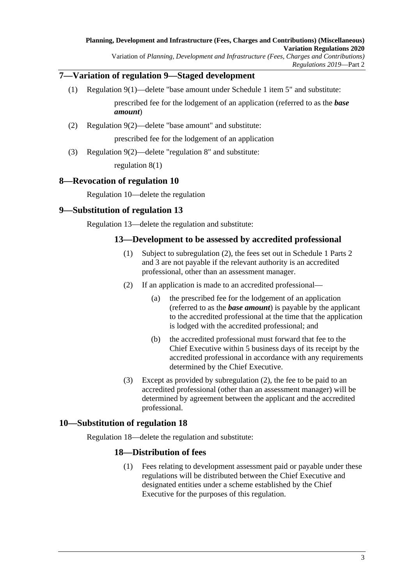## <span id="page-2-0"></span>**7—Variation of regulation 9—Staged development**

- (1) Regulation 9(1)—delete "base amount under Schedule 1 item 5" and substitute: prescribed fee for the lodgement of an application (referred to as the *base amount*)
- (2) Regulation 9(2)—delete "base amount" and substitute:

prescribed fee for the lodgement of an application

(3) Regulation 9(2)—delete "regulation 8" and substitute:

regulation 8(1)

### <span id="page-2-1"></span>**8—Revocation of regulation 10**

Regulation 10—delete the regulation

## <span id="page-2-2"></span>**9—Substitution of regulation 13**

<span id="page-2-4"></span>Regulation 13—delete the regulation and substitute:

### **13—Development to be assessed by accredited professional**

- (1) Subject to [subregulation](#page-2-4) (2), the fees set out in Schedule 1 Parts 2 and 3 are not payable if the relevant authority is an accredited professional, other than an assessment manager.
- (2) If an application is made to an accredited professional—
	- (a) the prescribed fee for the lodgement of an application (referred to as the *base amount*) is payable by the applicant to the accredited professional at the time that the application is lodged with the accredited professional; and
	- (b) the accredited professional must forward that fee to the Chief Executive within 5 business days of its receipt by the accredited professional in accordance with any requirements determined by the Chief Executive.
- (3) Except as provided by [subregulation](#page-2-4) (2), the fee to be paid to an accredited professional (other than an assessment manager) will be determined by agreement between the applicant and the accredited professional.

### <span id="page-2-3"></span>**10—Substitution of regulation 18**

<span id="page-2-5"></span>Regulation 18—delete the regulation and substitute:

## **18—Distribution of fees**

(1) Fees relating to development assessment paid or payable under these regulations will be distributed between the Chief Executive and designated entities under a scheme established by the Chief Executive for the purposes of this regulation.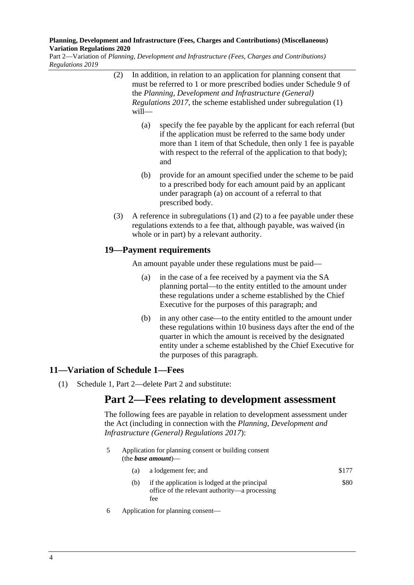<span id="page-3-2"></span><span id="page-3-1"></span>Part 2—Variation of *Planning, Development and Infrastructure (Fees, Charges and Contributions) Regulations 2019*

- (2) In addition, in relation to an application for planning consent that must be referred to 1 or more prescribed bodies under Schedule 9 of the *[Planning, Development and Infrastructure \(General\)](http://www.legislation.sa.gov.au/index.aspx?action=legref&type=subordleg&legtitle=Planning%20Development%20and%20Infrastructure%20(General)%20Regulations%202017)  [Regulations](http://www.legislation.sa.gov.au/index.aspx?action=legref&type=subordleg&legtitle=Planning%20Development%20and%20Infrastructure%20(General)%20Regulations%202017) 2017*, the scheme established under [subregulation](#page-2-5) (1) will—
	- (a) specify the fee payable by the applicant for each referral (but if the application must be referred to the same body under more than 1 item of that Schedule, then only 1 fee is payable with respect to the referral of the application to that body); and
	- (b) provide for an amount specified under the scheme to be paid to a prescribed body for each amount paid by an applicant under [paragraph](#page-3-1) (a) on account of a referral to that prescribed body.
- (3) A reference in [subregulations](#page-2-5) (1) and [\(2\)](#page-3-2) to a fee payable under these regulations extends to a fee that, although payable, was waived (in whole or in part) by a relevant authority.

### **19—Payment requirements**

An amount payable under these regulations must be paid—

- (a) in the case of a fee received by a payment via the SA planning portal—to the entity entitled to the amount under these regulations under a scheme established by the Chief Executive for the purposes of this paragraph; and
- (b) in any other case—to the entity entitled to the amount under these regulations within 10 business days after the end of the quarter in which the amount is received by the designated entity under a scheme established by the Chief Executive for the purposes of this paragraph.

## <span id="page-3-0"></span>**11—Variation of Schedule 1—Fees**

(1) Schedule 1, Part 2—delete Part 2 and substitute:

## **Part 2—Fees relating to development assessment**

The following fees are payable in relation to development assessment under the Act (including in connection with the *[Planning, Development and](http://www.legislation.sa.gov.au/index.aspx?action=legref&type=subordleg&legtitle=Planning%20Development%20and%20Infrastructure%20(General)%20Regulations%202017)  [Infrastructure \(General\) Regulations](http://www.legislation.sa.gov.au/index.aspx?action=legref&type=subordleg&legtitle=Planning%20Development%20and%20Infrastructure%20(General)%20Regulations%202017) 2017*):

| 5 | Application for planning consent or building consent<br>(the <i>base amount</i> )— |                                                                                                       |       |  |
|---|------------------------------------------------------------------------------------|-------------------------------------------------------------------------------------------------------|-------|--|
|   | (a)                                                                                | a lodgement fee; and                                                                                  | \$177 |  |
|   | (b)                                                                                | if the application is lodged at the principal<br>office of the relevant authority—a processing<br>fee | \$80  |  |

6 Application for planning consent—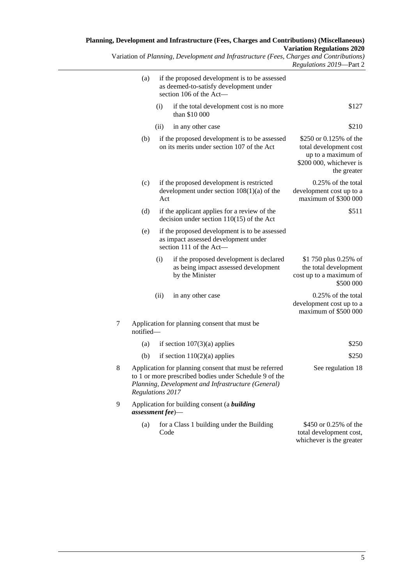Variation of *Planning, Development and Infrastructure (Fees, Charges and Contributions) Regulations 2019*—Part 2

|                                                                                                                  | if the proposed development is to be assessed<br>as deemed-to-satisfy development under<br>section 106 of the Act-                                                                         | (a)       |   |
|------------------------------------------------------------------------------------------------------------------|--------------------------------------------------------------------------------------------------------------------------------------------------------------------------------------------|-----------|---|
| \$127                                                                                                            | (i)<br>if the total development cost is no more<br>than \$10 000                                                                                                                           |           |   |
| \$210                                                                                                            | (ii)<br>in any other case                                                                                                                                                                  |           |   |
| \$250 or 0.125% of the<br>total development cost<br>up to a maximum of<br>\$200 000, whichever is<br>the greater | if the proposed development is to be assessed<br>on its merits under section 107 of the Act                                                                                                | (b)       |   |
| 0.25% of the total<br>development cost up to a<br>maximum of \$300 000                                           | if the proposed development is restricted<br>development under section $108(1)(a)$ of the<br>Act                                                                                           | (c)       |   |
| \$511                                                                                                            | if the applicant applies for a review of the<br>decision under section $110(15)$ of the Act                                                                                                | (d)       |   |
|                                                                                                                  | if the proposed development is to be assessed<br>as impact assessed development under<br>section 111 of the Act-                                                                           | (e)       |   |
| \$1 750 plus 0.25% of<br>the total development<br>cost up to a maximum of<br>\$500 000                           | if the proposed development is declared<br>(i)<br>as being impact assessed development<br>by the Minister                                                                                  |           |   |
| 0.25% of the total<br>development cost up to a<br>maximum of \$500 000                                           | (ii)<br>in any other case                                                                                                                                                                  |           |   |
|                                                                                                                  | Application for planning consent that must be                                                                                                                                              | notified- | 7 |
| \$250                                                                                                            | if section $107(3)(a)$ applies                                                                                                                                                             | (a)       |   |
| \$250                                                                                                            | if section $110(2)(a)$ applies                                                                                                                                                             | (b)       |   |
| See regulation 18                                                                                                | Application for planning consent that must be referred<br>to 1 or more prescribed bodies under Schedule 9 of the<br>Planning, Development and Infrastructure (General)<br>Regulations 2017 |           | 8 |
|                                                                                                                  | Application for building consent (a building<br>$assessment fee)$ —                                                                                                                        |           | 9 |
| \$450 or 0.25% of the<br>total development cost,<br>whichever is the greater                                     | for a Class 1 building under the Building<br>Code                                                                                                                                          | (a)       |   |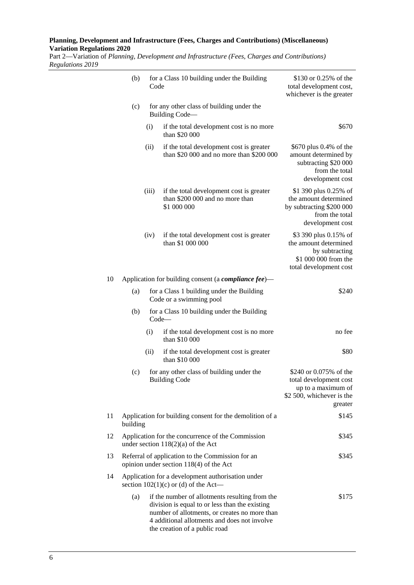Part 2—Variation of *Planning, Development and Infrastructure (Fees, Charges and Contributions) Regulations 2019*

|    | (b)                                                                                         | Code                                                              | for a Class 10 building under the Building                                                                                                                                                                                         | \$130 or 0.25% of the<br>total development cost,<br>whichever is the greater                                       |
|----|---------------------------------------------------------------------------------------------|-------------------------------------------------------------------|------------------------------------------------------------------------------------------------------------------------------------------------------------------------------------------------------------------------------------|--------------------------------------------------------------------------------------------------------------------|
|    | (c)                                                                                         |                                                                   | for any other class of building under the<br>Building Code-                                                                                                                                                                        |                                                                                                                    |
|    |                                                                                             | (i)                                                               | if the total development cost is no more<br>than \$20 000                                                                                                                                                                          | \$670                                                                                                              |
|    |                                                                                             | (ii)                                                              | if the total development cost is greater<br>than \$20 000 and no more than \$200 000                                                                                                                                               | \$670 plus 0.4% of the<br>amount determined by<br>subtracting \$20 000<br>from the total<br>development cost       |
|    |                                                                                             | (iii)                                                             | if the total development cost is greater<br>than \$200 000 and no more than<br>\$1 000 000                                                                                                                                         | \$1 390 plus 0.25% of<br>the amount determined<br>by subtracting \$200 000<br>from the total<br>development cost   |
|    |                                                                                             | (iv)                                                              | if the total development cost is greater<br>than \$1 000 000                                                                                                                                                                       | \$3 390 plus 0.15% of<br>the amount determined<br>by subtracting<br>\$1 000 000 from the<br>total development cost |
| 10 |                                                                                             |                                                                   | Application for building consent (a <i>compliance fee</i> )—                                                                                                                                                                       |                                                                                                                    |
|    | (a)                                                                                         |                                                                   | for a Class 1 building under the Building<br>Code or a swimming pool                                                                                                                                                               | \$240                                                                                                              |
|    | (b)                                                                                         |                                                                   | for a Class 10 building under the Building<br>$Code-$                                                                                                                                                                              |                                                                                                                    |
|    |                                                                                             | (i)                                                               | if the total development cost is no more<br>than \$10 000                                                                                                                                                                          | no fee                                                                                                             |
|    |                                                                                             | (ii)                                                              | if the total development cost is greater<br>than \$10 000                                                                                                                                                                          | \$80                                                                                                               |
|    | (c)                                                                                         | for any other class of building under the<br><b>Building Code</b> |                                                                                                                                                                                                                                    | \$240 or 0.075% of the<br>total development cost<br>up to a maximum of<br>\$2 500, whichever is the<br>greater     |
| 11 | building                                                                                    |                                                                   | Application for building consent for the demolition of a                                                                                                                                                                           | \$145                                                                                                              |
| 12 | Application for the concurrence of the Commission<br>under section $118(2)(a)$ of the Act   |                                                                   |                                                                                                                                                                                                                                    | \$345                                                                                                              |
| 13 |                                                                                             |                                                                   | Referral of application to the Commission for an<br>opinion under section 118(4) of the Act                                                                                                                                        | \$345                                                                                                              |
| 14 | Application for a development authorisation under<br>section $102(1)(c)$ or (d) of the Act— |                                                                   |                                                                                                                                                                                                                                    |                                                                                                                    |
|    | (a)                                                                                         |                                                                   | if the number of allotments resulting from the<br>division is equal to or less than the existing<br>number of allotments, or creates no more than<br>4 additional allotments and does not involve<br>the creation of a public road | \$175                                                                                                              |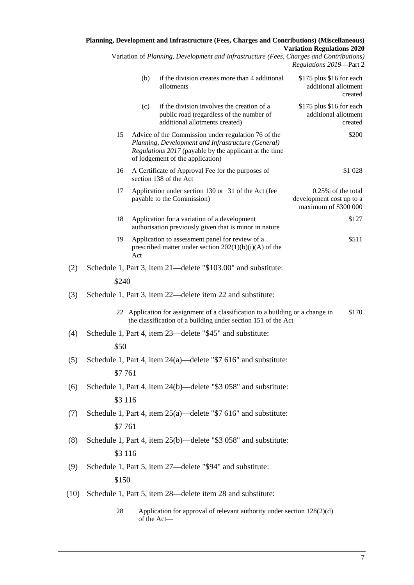Variation of *Planning, Development and Infrastructure (Fees, Charges and Contributions) Regulations 2019*—Part 2

|      |         |     |                                                                                                                                                                                                         | $\mathbf{u}$ . The set of $\mathbf{u}$<br>$1 \mu \ldots$                  |
|------|---------|-----|---------------------------------------------------------------------------------------------------------------------------------------------------------------------------------------------------------|---------------------------------------------------------------------------|
|      |         | (b) | if the division creates more than 4 additional<br>allotments                                                                                                                                            | \$175 plus \$16 for each<br>additional allotment<br>created               |
|      |         | (c) | if the division involves the creation of a<br>public road (regardless of the number of<br>additional allotments created)                                                                                | \$175 plus \$16 for each<br>additional allotment<br>created               |
|      | 15      |     | Advice of the Commission under regulation 76 of the<br>Planning, Development and Infrastructure (General)<br>Regulations 2017 (payable by the applicant at the time<br>of lodgement of the application) | \$200                                                                     |
|      | 16      |     | A Certificate of Approval Fee for the purposes of<br>section 138 of the Act                                                                                                                             | \$1 028                                                                   |
|      | 17      |     | Application under section 130 or 31 of the Act (fee<br>payable to the Commission)                                                                                                                       | $0.25\%$ of the total<br>development cost up to a<br>maximum of \$300 000 |
|      | 18      |     | Application for a variation of a development<br>authorisation previously given that is minor in nature                                                                                                  | \$127                                                                     |
|      | 19      | Act | Application to assessment panel for review of a<br>prescribed matter under section $202(1)(b)(i)(A)$ of the                                                                                             | \$511                                                                     |
| (2)  |         |     | Schedule 1, Part 3, item 21—delete "\$103.00" and substitute:                                                                                                                                           |                                                                           |
|      | \$240   |     |                                                                                                                                                                                                         |                                                                           |
| (3)  |         |     | Schedule 1, Part 3, item 22—delete item 22 and substitute:                                                                                                                                              |                                                                           |
|      |         |     | 22 Application for assignment of a classification to a building or a change in<br>the classification of a building under section 151 of the Act                                                         | \$170                                                                     |
| (4)  |         |     | Schedule 1, Part 4, item 23—delete "\$45" and substitute:                                                                                                                                               |                                                                           |
|      | \$50    |     |                                                                                                                                                                                                         |                                                                           |
| (5)  |         |     | Schedule 1, Part 4, item 24(a)—delete "\$7 616" and substitute:                                                                                                                                         |                                                                           |
|      | \$7 761 |     |                                                                                                                                                                                                         |                                                                           |
| (6)  |         |     | Schedule 1, Part 4, item 24(b)—delete "\$3 058" and substitute:                                                                                                                                         |                                                                           |
|      | \$3 116 |     |                                                                                                                                                                                                         |                                                                           |
| (7)  |         |     | Schedule 1, Part 4, item $25(a)$ —delete "\$7 616" and substitute:                                                                                                                                      |                                                                           |
|      | \$7 761 |     |                                                                                                                                                                                                         |                                                                           |
| (8)  |         |     | Schedule 1, Part 4, item 25(b)—delete "\$3 058" and substitute:                                                                                                                                         |                                                                           |
|      | \$3 116 |     |                                                                                                                                                                                                         |                                                                           |
| (9)  |         |     | Schedule 1, Part 5, item 27—delete "\$94" and substitute:                                                                                                                                               |                                                                           |
|      | \$150   |     |                                                                                                                                                                                                         |                                                                           |
| (10) |         |     | Schedule 1, Part 5, item 28—delete item 28 and substitute:                                                                                                                                              |                                                                           |
|      | 28      |     | Application for approval of relevant authority under section 128(2)(d)<br>of the Act-                                                                                                                   |                                                                           |